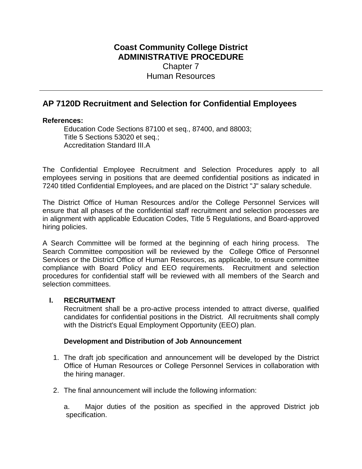# **Coast Community College District ADMINISTRATIVE PROCEDURE** Chapter 7 Human Resources

# **AP 7120D Recruitment and Selection for Confidential Employees**

### **References:**

Education Code Sections 87100 et seq., 87400, and 88003; Title 5 Sections 53020 et seq.; Accreditation Standard III.A

The Confidential Employee Recruitment and Selection Procedures apply to all employees serving in positions that are deemed confidential positions as indicated in 7240 titled Confidential Employees, and are placed on the District "J" salary schedule.

The District Office of Human Resources and/or the College Personnel Services will ensure that all phases of the confidential staff recruitment and selection processes are in alignment with applicable Education Codes, Title 5 Regulations, and Board-approved hiring policies.

A Search Committee will be formed at the beginning of each hiring process. The Search Committee composition will be reviewed by the College Office of Personnel Services or the District Office of Human Resources, as applicable, to ensure committee compliance with Board Policy and EEO requirements. Recruitment and selection procedures for confidential staff will be reviewed with all members of the Search and selection committees.

# **I. RECRUITMENT**

Recruitment shall be a pro-active process intended to attract diverse, qualified candidates for confidential positions in the District. All recruitments shall comply with the District's Equal Employment Opportunity (EEO) plan.

# **Development and Distribution of Job Announcement**

- 1. The draft job specification and announcement will be developed by the District Office of Human Resources or College Personnel Services in collaboration with the hiring manager.
- 2. The final announcement will include the following information:

a. Major duties of the position as specified in the approved District job specification.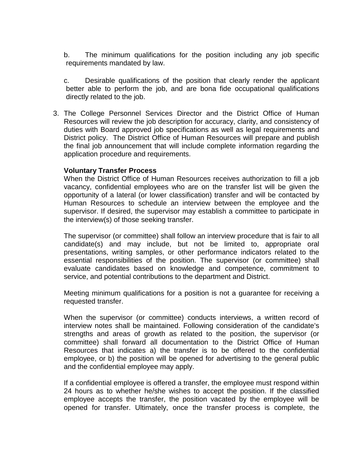b. The minimum qualifications for the position including any job specific requirements mandated by law.

c. Desirable qualifications of the position that clearly render the applicant better able to perform the job, and are bona fide occupational qualifications directly related to the job.

3. The College Personnel Services Director and the District Office of Human Resources will review the job description for accuracy, clarity, and consistency of duties with Board approved job specifications as well as legal requirements and District policy. The District Office of Human Resources will prepare and publish the final job announcement that will include complete information regarding the application procedure and requirements.

### **Voluntary Transfer Process**

When the District Office of Human Resources receives authorization to fill a job vacancy, confidential employees who are on the transfer list will be given the opportunity of a lateral (or lower classification) transfer and will be contacted by Human Resources to schedule an interview between the employee and the supervisor. If desired, the supervisor may establish a committee to participate in the interview(s) of those seeking transfer.

The supervisor (or committee) shall follow an interview procedure that is fair to all candidate(s) and may include, but not be limited to, appropriate oral presentations, writing samples, or other performance indicators related to the essential responsibilities of the position. The supervisor (or committee) shall evaluate candidates based on knowledge and competence, commitment to service, and potential contributions to the department and District.

Meeting minimum qualifications for a position is not a guarantee for receiving a requested transfer.

When the supervisor (or committee) conducts interviews, a written record of interview notes shall be maintained. Following consideration of the candidate's strengths and areas of growth as related to the position, the supervisor (or committee) shall forward all documentation to the District Office of Human Resources that indicates a) the transfer is to be offered to the confidential employee, or b) the position will be opened for advertising to the general public and the confidential employee may apply.

If a confidential employee is offered a transfer, the employee must respond within 24 hours as to whether he/she wishes to accept the position. If the classified employee accepts the transfer, the position vacated by the employee will be opened for transfer. Ultimately, once the transfer process is complete, the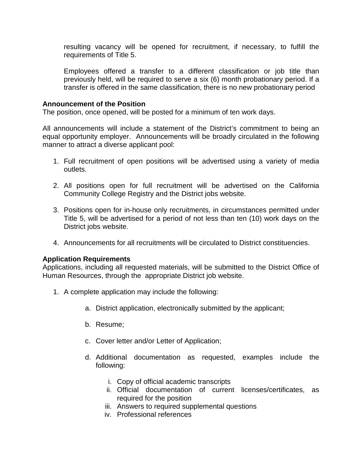resulting vacancy will be opened for recruitment, if necessary, to fulfill the requirements of Title 5.

Employees offered a transfer to a different classification or job title than previously held, will be required to serve a six (6) month probationary period. If a transfer is offered in the same classification, there is no new probationary period

#### **Announcement of the Position**

The position, once opened, will be posted for a minimum of ten work days.

All announcements will include a statement of the District's commitment to being an equal opportunity employer. Announcements will be broadly circulated in the following manner to attract a diverse applicant pool:

- 1. Full recruitment of open positions will be advertised using a variety of media outlets.
- 2. All positions open for full recruitment will be advertised on the California Community College Registry and the District jobs website.
- 3. Positions open for in-house only recruitments, in circumstances permitted under Title 5, will be advertised for a period of not less than ten (10) work days on the District jobs website.
- 4. Announcements for all recruitments will be circulated to District constituencies.

# **Application Requirements**

Applications, including all requested materials, will be submitted to the District Office of Human Resources, through the appropriate District job website.

- 1. A complete application may include the following:
	- a. District application, electronically submitted by the applicant;
	- b. Resume;
	- c. Cover letter and/or Letter of Application;
	- d. Additional documentation as requested, examples include the following:
		- i. Copy of official academic transcripts
		- ii. Official documentation of current licenses/certificates, as required for the position
		- iii. Answers to required supplemental questions
		- iv. Professional references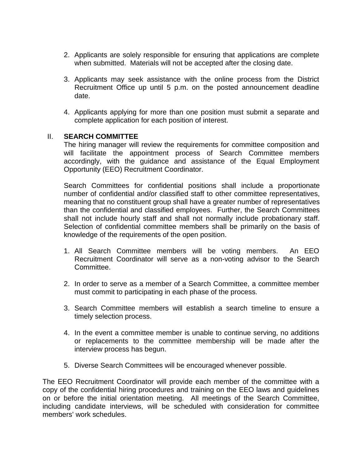- 2. Applicants are solely responsible for ensuring that applications are complete when submitted. Materials will not be accepted after the closing date.
- 3. Applicants may seek assistance with the online process from the District Recruitment Office up until 5 p.m. on the posted announcement deadline date.
- 4. Applicants applying for more than one position must submit a separate and complete application for each position of interest.

### II. **SEARCH COMMITTEE**

The hiring manager will review the requirements for committee composition and will facilitate the appointment process of Search Committee members accordingly, with the guidance and assistance of the Equal Employment Opportunity (EEO) Recruitment Coordinator.

Search Committees for confidential positions shall include a proportionate number of confidential and/or classified staff to other committee representatives, meaning that no constituent group shall have a greater number of representatives than the confidential and classified employees. Further, the Search Committees shall not include hourly staff and shall not normally include probationary staff. Selection of confidential committee members shall be primarily on the basis of knowledge of the requirements of the open position.

- 1. All Search Committee members will be voting members. An EEO Recruitment Coordinator will serve as a non-voting advisor to the Search Committee.
- 2. In order to serve as a member of a Search Committee, a committee member must commit to participating in each phase of the process.
- 3. Search Committee members will establish a search timeline to ensure a timely selection process.
- 4. In the event a committee member is unable to continue serving, no additions or replacements to the committee membership will be made after the interview process has begun.
- 5. Diverse Search Committees will be encouraged whenever possible.

The EEO Recruitment Coordinator will provide each member of the committee with a copy of the confidential hiring procedures and training on the EEO laws and guidelines on or before the initial orientation meeting. All meetings of the Search Committee, including candidate interviews, will be scheduled with consideration for committee members' work schedules.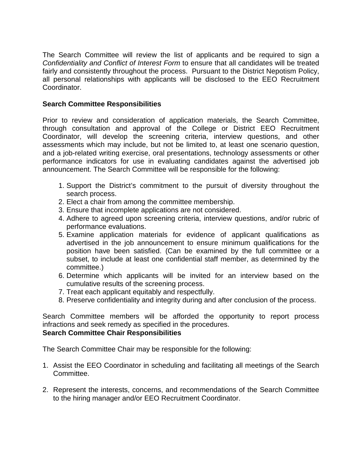The Search Committee will review the list of applicants and be required to sign a *Confidentiality and Conflict of Interest Form* to ensure that all candidates will be treated fairly and consistently throughout the process. Pursuant to the District Nepotism Policy, all personal relationships with applicants will be disclosed to the EEO Recruitment Coordinator.

# **Search Committee Responsibilities**

Prior to review and consideration of application materials, the Search Committee, through consultation and approval of the College or District EEO Recruitment Coordinator, will develop the screening criteria, interview questions, and other assessments which may include, but not be limited to, at least one scenario question, and a job-related writing exercise, oral presentations, technology assessments or other performance indicators for use in evaluating candidates against the advertised job announcement. The Search Committee will be responsible for the following:

- 1. Support the District's commitment to the pursuit of diversity throughout the search process.
- 2. Elect a chair from among the committee membership.
- 3. Ensure that incomplete applications are not considered.
- 4. Adhere to agreed upon screening criteria, interview questions, and/or rubric of performance evaluations.
- 5. Examine application materials for evidence of applicant qualifications as advertised in the job announcement to ensure minimum qualifications for the position have been satisfied. (Can be examined by the full committee or a subset, to include at least one confidential staff member, as determined by the committee.)
- 6. Determine which applicants will be invited for an interview based on the cumulative results of the screening process.
- 7. Treat each applicant equitably and respectfully.
- 8. Preserve confidentiality and integrity during and after conclusion of the process.

Search Committee members will be afforded the opportunity to report process infractions and seek remedy as specified in the procedures. **Search Committee Chair Responsibilities**

The Search Committee Chair may be responsible for the following:

- 1. Assist the EEO Coordinator in scheduling and facilitating all meetings of the Search Committee.
- 2. Represent the interests, concerns, and recommendations of the Search Committee to the hiring manager and/or EEO Recruitment Coordinator.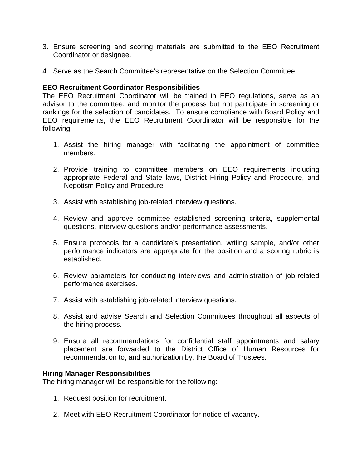- 3. Ensure screening and scoring materials are submitted to the EEO Recruitment Coordinator or designee.
- 4. Serve as the Search Committee's representative on the Selection Committee.

# **EEO Recruitment Coordinator Responsibilities**

The EEO Recruitment Coordinator will be trained in EEO regulations, serve as an advisor to the committee, and monitor the process but not participate in screening or rankings for the selection of candidates. To ensure compliance with Board Policy and EEO requirements, the EEO Recruitment Coordinator will be responsible for the following:

- 1. Assist the hiring manager with facilitating the appointment of committee members.
- 2. Provide training to committee members on EEO requirements including appropriate Federal and State laws, District Hiring Policy and Procedure, and Nepotism Policy and Procedure.
- 3. Assist with establishing job-related interview questions.
- 4. Review and approve committee established screening criteria, supplemental questions, interview questions and/or performance assessments.
- 5. Ensure protocols for a candidate's presentation, writing sample, and/or other performance indicators are appropriate for the position and a scoring rubric is established.
- 6. Review parameters for conducting interviews and administration of job-related performance exercises.
- 7. Assist with establishing job-related interview questions.
- 8. Assist and advise Search and Selection Committees throughout all aspects of the hiring process.
- 9. Ensure all recommendations for confidential staff appointments and salary placement are forwarded to the District Office of Human Resources for recommendation to, and authorization by, the Board of Trustees.

#### **Hiring Manager Responsibilities**

The hiring manager will be responsible for the following:

- 1. Request position for recruitment.
- 2. Meet with EEO Recruitment Coordinator for notice of vacancy.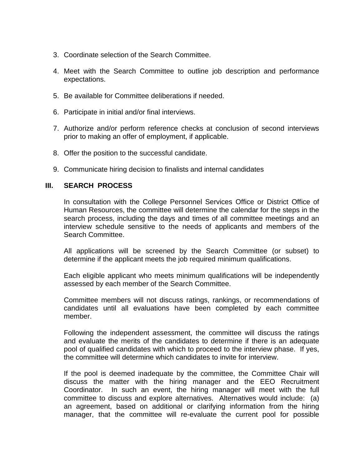- 3. Coordinate selection of the Search Committee.
- 4. Meet with the Search Committee to outline job description and performance expectations.
- 5. Be available for Committee deliberations if needed.
- 6. Participate in initial and/or final interviews.
- 7. Authorize and/or perform reference checks at conclusion of second interviews prior to making an offer of employment, if applicable.
- 8. Offer the position to the successful candidate.
- 9. Communicate hiring decision to finalists and internal candidates

# **III. SEARCH PROCESS**

In consultation with the College Personnel Services Office or District Office of Human Resources, the committee will determine the calendar for the steps in the search process, including the days and times of all committee meetings and an interview schedule sensitive to the needs of applicants and members of the Search Committee.

All applications will be screened by the Search Committee (or subset) to determine if the applicant meets the job required minimum qualifications.

Each eligible applicant who meets minimum qualifications will be independently assessed by each member of the Search Committee.

Committee members will not discuss ratings, rankings, or recommendations of candidates until all evaluations have been completed by each committee member.

Following the independent assessment, the committee will discuss the ratings and evaluate the merits of the candidates to determine if there is an adequate pool of qualified candidates with which to proceed to the interview phase. If yes, the committee will determine which candidates to invite for interview.

If the pool is deemed inadequate by the committee, the Committee Chair will discuss the matter with the hiring manager and the EEO Recruitment Coordinator. In such an event, the hiring manager will meet with the full committee to discuss and explore alternatives. Alternatives would include: (a) an agreement, based on additional or clarifying information from the hiring manager, that the committee will re-evaluate the current pool for possible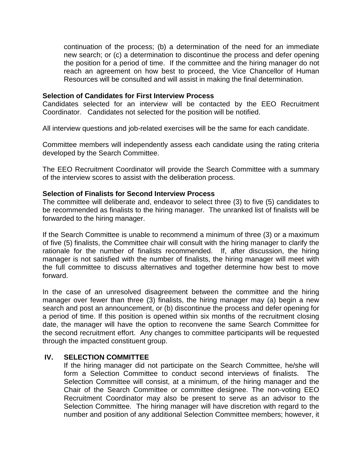continuation of the process; (b) a determination of the need for an immediate new search; or (c) a determination to discontinue the process and defer opening the position for a period of time. If the committee and the hiring manager do not reach an agreement on how best to proceed, the Vice Chancellor of Human Resources will be consulted and will assist in making the final determination.

#### **Selection of Candidates for First Interview Process**

Candidates selected for an interview will be contacted by the EEO Recruitment Coordinator. Candidates not selected for the position will be notified.

All interview questions and job-related exercises will be the same for each candidate.

Committee members will independently assess each candidate using the rating criteria developed by the Search Committee.

The EEO Recruitment Coordinator will provide the Search Committee with a summary of the interview scores to assist with the deliberation process.

#### **Selection of Finalists for Second Interview Process**

The committee will deliberate and, endeavor to select three (3) to five (5) candidates to be recommended as finalists to the hiring manager. The unranked list of finalists will be forwarded to the hiring manager.

If the Search Committee is unable to recommend a minimum of three (3) or a maximum of five (5) finalists, the Committee chair will consult with the hiring manager to clarify the rationale for the number of finalists recommended. If, after discussion, the hiring manager is not satisfied with the number of finalists, the hiring manager will meet with the full committee to discuss alternatives and together determine how best to move forward.

In the case of an unresolved disagreement between the committee and the hiring manager over fewer than three (3) finalists, the hiring manager may (a) begin a new search and post an announcement, or (b) discontinue the process and defer opening for a period of time. If this position is opened within six months of the recruitment closing date, the manager will have the option to reconvene the same Search Committee for the second recruitment effort. Any changes to committee participants will be requested through the impacted constituent group.

#### **IV. SELECTION COMMITTEE**

If the hiring manager did not participate on the Search Committee, he/she will form a Selection Committee to conduct second interviews of finalists. The Selection Committee will consist, at a minimum, of the hiring manager and the Chair of the Search Committee or committee designee. The non-voting EEO Recruitment Coordinator may also be present to serve as an advisor to the Selection Committee. The hiring manager will have discretion with regard to the number and position of any additional Selection Committee members; however, it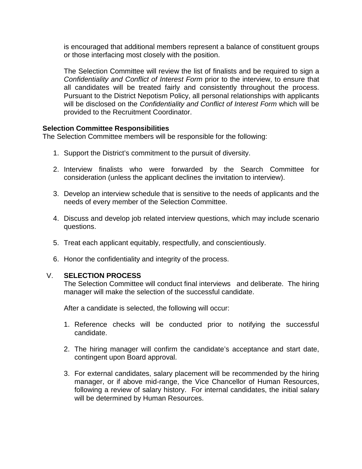is encouraged that additional members represent a balance of constituent groups or those interfacing most closely with the position.

The Selection Committee will review the list of finalists and be required to sign a *Confidentiality and Conflict of Interest Form* prior to the interview, to ensure that all candidates will be treated fairly and consistently throughout the process. Pursuant to the District Nepotism Policy, all personal relationships with applicants will be disclosed on the *Confidentiality and Conflict of Interest Form* which will be provided to the Recruitment Coordinator.

### **Selection Committee Responsibilities**

The Selection Committee members will be responsible for the following:

- 1. Support the District's commitment to the pursuit of diversity.
- 2. Interview finalists who were forwarded by the Search Committee for consideration (unless the applicant declines the invitation to interview).
- 3. Develop an interview schedule that is sensitive to the needs of applicants and the needs of every member of the Selection Committee.
- 4. Discuss and develop job related interview questions, which may include scenario questions.
- 5. Treat each applicant equitably, respectfully, and conscientiously.
- 6. Honor the confidentiality and integrity of the process.

# V. **SELECTION PROCESS**

The Selection Committee will conduct final interviews and deliberate. The hiring manager will make the selection of the successful candidate.

After a candidate is selected, the following will occur:

- 1. Reference checks will be conducted prior to notifying the successful candidate.
- 2. The hiring manager will confirm the candidate's acceptance and start date, contingent upon Board approval.
- 3. For external candidates, salary placement will be recommended by the hiring manager, or if above mid-range, the Vice Chancellor of Human Resources, following a review of salary history. For internal candidates, the initial salary will be determined by Human Resources.